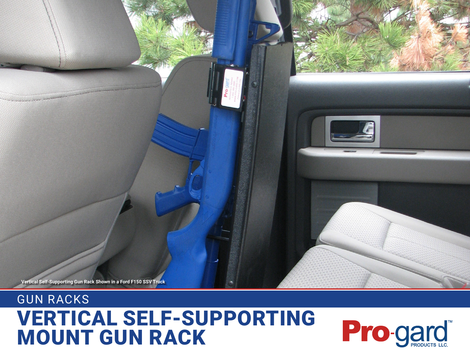## VERTICAL SELF-SUPPORTING MOUNT GUN RACK



GUN RACKS